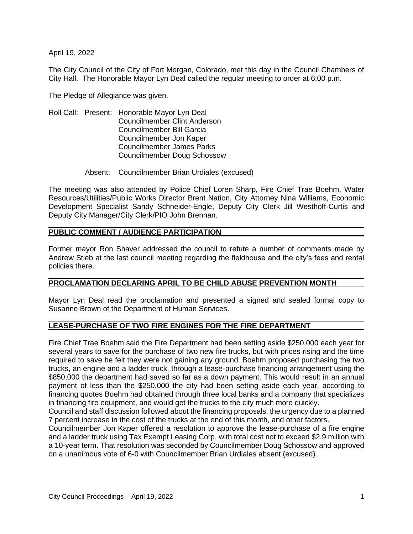April 19, 2022

The City Council of the City of Fort Morgan, Colorado, met this day in the Council Chambers of City Hall. The Honorable Mayor Lyn Deal called the regular meeting to order at 6:00 p.m.

The Pledge of Allegiance was given.

- Roll Call: Present: Honorable Mayor Lyn Deal Councilmember Clint Anderson Councilmember Bill Garcia Councilmember Jon Kaper Councilmember James Parks Councilmember Doug Schossow
	- Absent: Councilmember Brian Urdiales (excused)

The meeting was also attended by Police Chief Loren Sharp, Fire Chief Trae Boehm, Water Resources/Utilities/Public Works Director Brent Nation, City Attorney Nina Williams, Economic Development Specialist Sandy Schneider-Engle, Deputy City Clerk Jill Westhoff-Curtis and Deputy City Manager/City Clerk/PIO John Brennan.

### **PUBLIC COMMENT / AUDIENCE PARTICIPATION**

Former mayor Ron Shaver addressed the council to refute a number of comments made by Andrew Stieb at the last council meeting regarding the fieldhouse and the city's fees and rental policies there.

### **PROCLAMATION DECLARING APRIL TO BE CHILD ABUSE PREVENTION MONTH**

Mayor Lyn Deal read the proclamation and presented a signed and sealed formal copy to Susanne Brown of the Department of Human Services.

### **LEASE-PURCHASE OF TWO FIRE ENGINES FOR THE FIRE DEPARTMENT**

Fire Chief Trae Boehm said the Fire Department had been setting aside \$250,000 each year for several years to save for the purchase of two new fire trucks, but with prices rising and the time required to save he felt they were not gaining any ground. Boehm proposed purchasing the two trucks, an engine and a ladder truck, through a lease-purchase financing arrangement using the \$850,000 the department had saved so far as a down payment. This would result in an annual payment of less than the \$250,000 the city had been setting aside each year, according to financing quotes Boehm had obtained through three local banks and a company that specializes in financing fire equipment, and would get the trucks to the city much more quickly.

Council and staff discussion followed about the financing proposals, the urgency due to a planned 7 percent increase in the cost of the trucks at the end of this month, and other factors.

Councilmember Jon Kaper offered a resolution to approve the lease-purchase of a fire engine and a ladder truck using Tax Exempt Leasing Corp. with total cost not to exceed \$2.9 million with a 10-year term. That resolution was seconded by Councilmember Doug Schossow and approved on a unanimous vote of 6-0 with Councilmember Brian Urdiales absent (excused).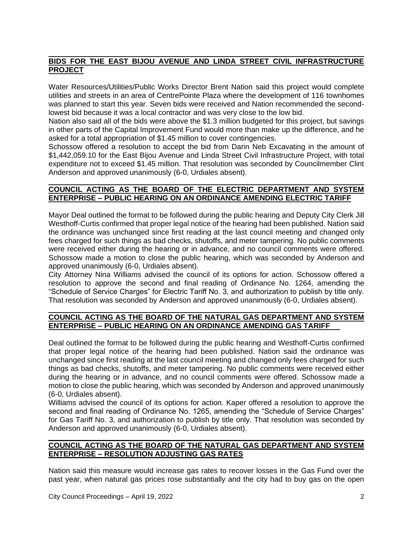# **BIDS FOR THE EAST BIJOU AVENUE AND LINDA STREET CIVIL INFRASTRUCTURE PROJECT**

Water Resources/Utilities/Public Works Director Brent Nation said this project would complete utilities and streets in an area of CentrePointe Plaza where the development of 116 townhomes was planned to start this year. Seven bids were received and Nation recommended the secondlowest bid because it was a local contractor and was very close to the low bid.

Nation also said all of the bids were above the \$1.3 million budgeted for this project, but savings in other parts of the Capital Improvement Fund would more than make up the difference, and he asked for a total appropriation of \$1.45 million to cover contingencies.

Schossow offered a resolution to accept the bid from Darin Neb Excavating in the amount of \$1,442,059.10 for the East Bijou Avenue and Linda Street Civil Infrastructure Project, with total expenditure not to exceed \$1.45 million. That resolution was seconded by Councilmember Clint Anderson and approved unanimously (6-0, Urdiales absent).

### **COUNCIL ACTING AS THE BOARD OF THE ELECTRIC DEPARTMENT AND SYSTEM ENTERPRISE – PUBLIC HEARING ON AN ORDINANCE AMENDING ELECTRIC TARIFF**

Mayor Deal outlined the format to be followed during the public hearing and Deputy City Clerk Jill Westhoff-Curtis confirmed that proper legal notice of the hearing had been published. Nation said the ordinance was unchanged since first reading at the last council meeting and changed only fees charged for such things as bad checks, shutoffs, and meter tampering. No public comments were received either during the hearing or in advance, and no council comments were offered. Schossow made a motion to close the public hearing, which was seconded by Anderson and approved unanimously (6-0, Urdiales absent).

City Attorney Nina Williams advised the council of its options for action. Schossow offered a resolution to approve the second and final reading of Ordinance No. 1264, amending the "Schedule of Service Charges" for Electric Tariff No. 3, and authorization to publish by title only. That resolution was seconded by Anderson and approved unanimously (6-0, Urdiales absent).

### **COUNCIL ACTING AS THE BOARD OF THE NATURAL GAS DEPARTMENT AND SYSTEM ENTERPRISE – PUBLIC HEARING ON AN ORDINANCE AMENDING GAS TARIFF**

Deal outlined the format to be followed during the public hearing and Westhoff-Curtis confirmed that proper legal notice of the hearing had been published. Nation said the ordinance was unchanged since first reading at the last council meeting and changed only fees charged for such things as bad checks, shutoffs, and meter tampering. No public comments were received either during the hearing or in advance, and no council comments were offered. Schossow made a motion to close the public hearing, which was seconded by Anderson and approved unanimously (6-0, Urdiales absent).

Williams advised the council of its options for action. Kaper offered a resolution to approve the second and final reading of Ordinance No. 1265, amending the "Schedule of Service Charges" for Gas Tariff No. 3, and authorization to publish by title only. That resolution was seconded by Anderson and approved unanimously (6-0, Urdiales absent).

### **COUNCIL ACTING AS THE BOARD OF THE NATURAL GAS DEPARTMENT AND SYSTEM ENTERPRISE – RESOLUTION ADJUSTING GAS RATES**

Nation said this measure would increase gas rates to recover losses in the Gas Fund over the past year, when natural gas prices rose substantially and the city had to buy gas on the open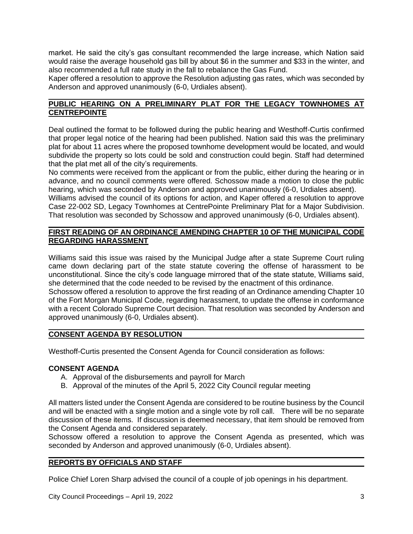market. He said the city's gas consultant recommended the large increase, which Nation said would raise the average household gas bill by about \$6 in the summer and \$33 in the winter, and also recommended a full rate study in the fall to rebalance the Gas Fund.

Kaper offered a resolution to approve the Resolution adjusting gas rates, which was seconded by Anderson and approved unanimously (6-0, Urdiales absent).

## **PUBLIC HEARING ON A PRELIMINARY PLAT FOR THE LEGACY TOWNHOMES AT CENTREPOINTE**

Deal outlined the format to be followed during the public hearing and Westhoff-Curtis confirmed that proper legal notice of the hearing had been published. Nation said this was the preliminary plat for about 11 acres where the proposed townhome development would be located, and would subdivide the property so lots could be sold and construction could begin. Staff had determined that the plat met all of the city's requirements.

No comments were received from the applicant or from the public, either during the hearing or in advance, and no council comments were offered. Schossow made a motion to close the public hearing, which was seconded by Anderson and approved unanimously (6-0, Urdiales absent). Williams advised the council of its options for action, and Kaper offered a resolution to approve Case 22-002 SD, Legacy Townhomes at CentrePointe Preliminary Plat for a Major Subdivision. That resolution was seconded by Schossow and approved unanimously (6-0, Urdiales absent).

## **FIRST READING OF AN ORDINANCE AMENDING CHAPTER 10 OF THE MUNICIPAL CODE REGARDING HARASSMENT**

Williams said this issue was raised by the Municipal Judge after a state Supreme Court ruling came down declaring part of the state statute covering the offense of harassment to be unconstitutional. Since the city's code language mirrored that of the state statute, Williams said, she determined that the code needed to be revised by the enactment of this ordinance.

Schossow offered a resolution to approve the first reading of an Ordinance amending Chapter 10 of the Fort Morgan Municipal Code, regarding harassment, to update the offense in conformance with a recent Colorado Supreme Court decision. That resolution was seconded by Anderson and approved unanimously (6-0, Urdiales absent).

### **CONSENT AGENDA BY RESOLUTION**

Westhoff-Curtis presented the Consent Agenda for Council consideration as follows:

### **CONSENT AGENDA**

- A. Approval of the disbursements and payroll for March
- B. Approval of the minutes of the April 5, 2022 City Council regular meeting

All matters listed under the Consent Agenda are considered to be routine business by the Council and will be enacted with a single motion and a single vote by roll call. There will be no separate discussion of these items. If discussion is deemed necessary, that item should be removed from the Consent Agenda and considered separately.

Schossow offered a resolution to approve the Consent Agenda as presented, which was seconded by Anderson and approved unanimously (6-0, Urdiales absent).

### **REPORTS BY OFFICIALS AND STAFF**

Police Chief Loren Sharp advised the council of a couple of job openings in his department.